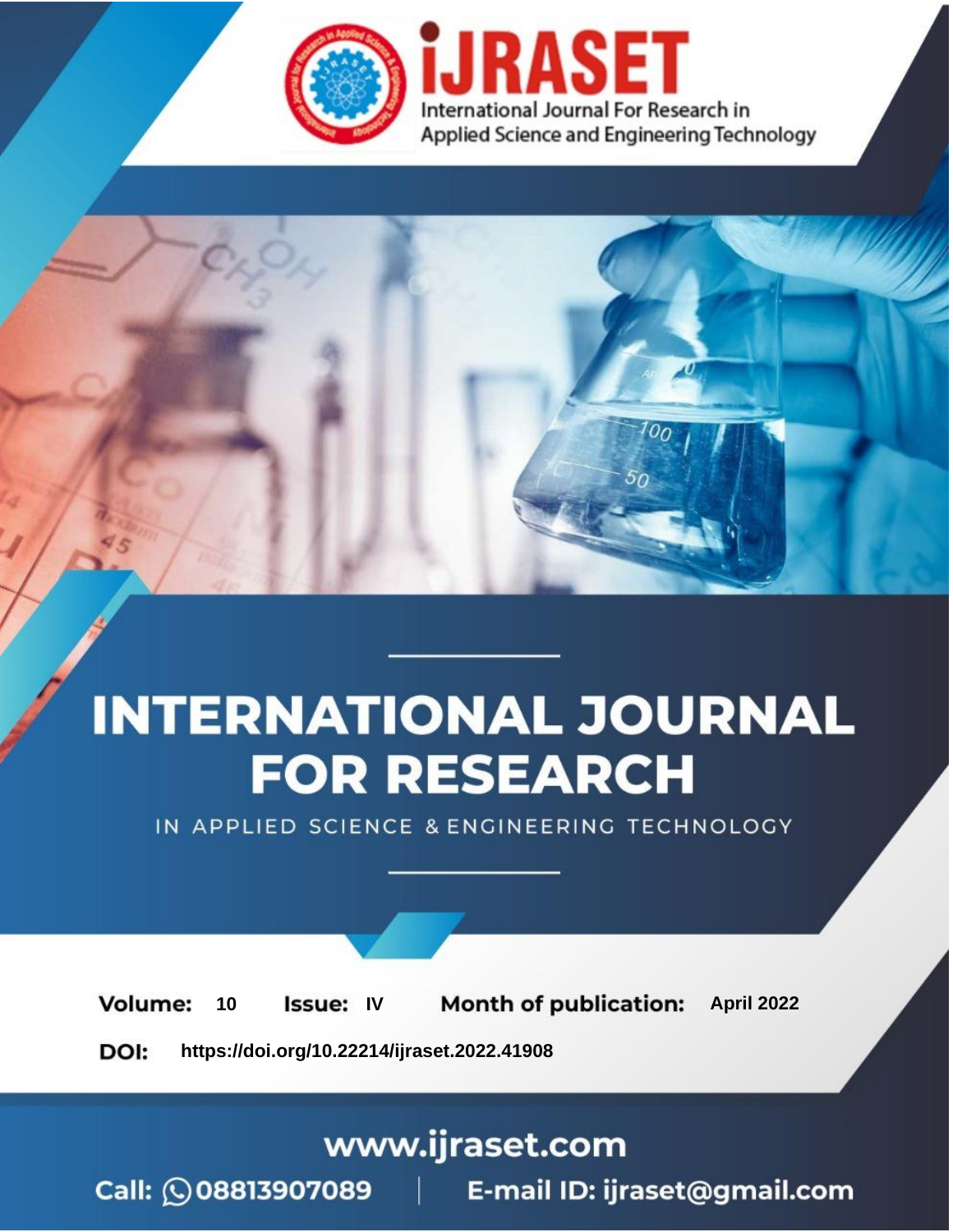

# **INTERNATIONAL JOURNAL FOR RESEARCH**

IN APPLIED SCIENCE & ENGINEERING TECHNOLOGY

10 **Issue: IV Month of publication:** April 2022 **Volume:** 

**https://doi.org/10.22214/ijraset.2022.41908**DOI:

www.ijraset.com

Call: 008813907089 | E-mail ID: ijraset@gmail.com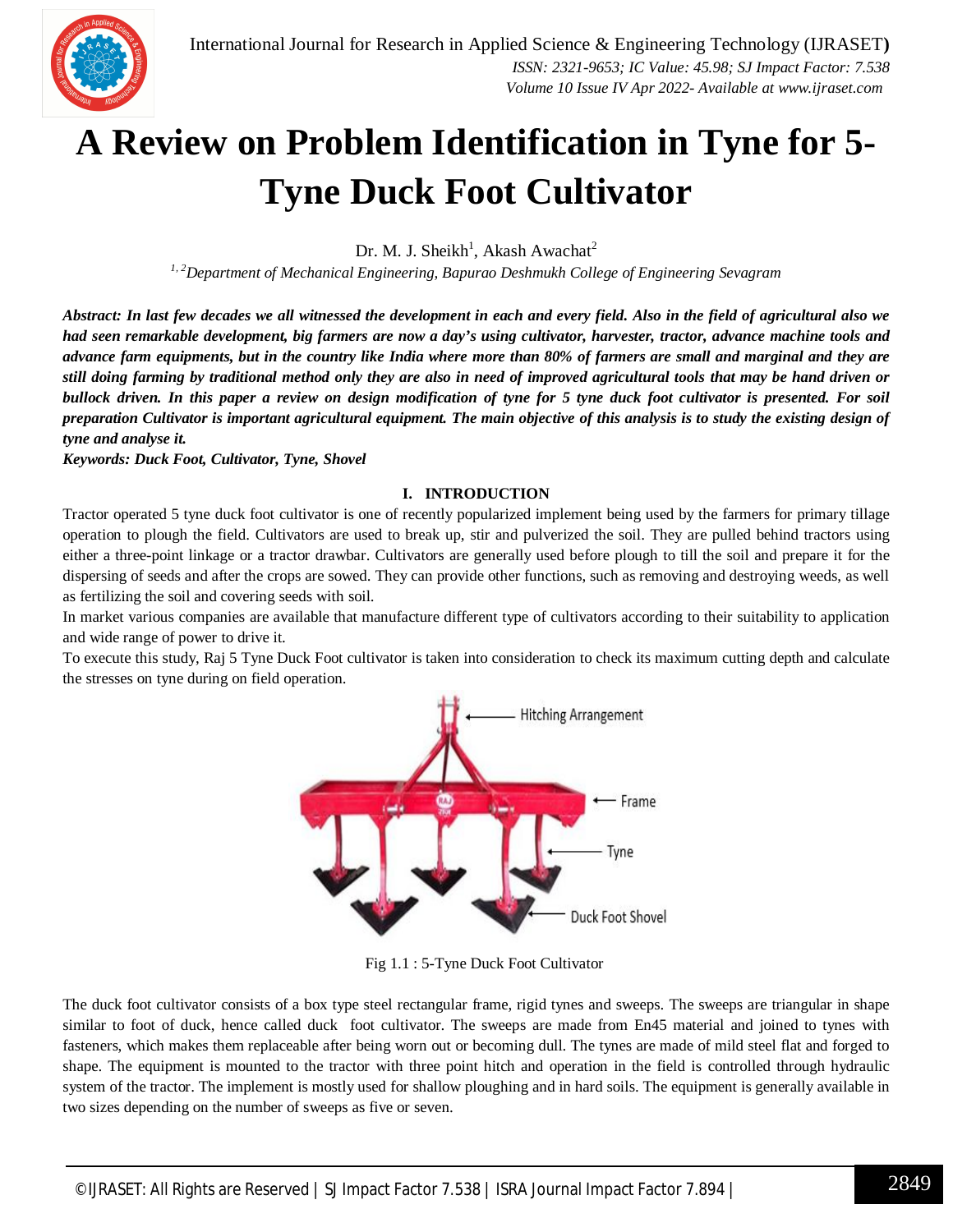

### **A Review on Problem Identification in Tyne for 5- Tyne Duck Foot Cultivator**

Dr. M. J. Sheikh<sup>1</sup>, Akash Awachat<sup>2</sup>

*1, <sup>2</sup>Department of Mechanical Engineering, Bapurao Deshmukh College of Engineering Sevagram* 

*Abstract: In last few decades we all witnessed the development in each and every field. Also in the field of agricultural also we had seen remarkable development, big farmers are now a day's using cultivator, harvester, tractor, advance machine tools and advance farm equipments, but in the country like India where more than 80% of farmers are small and marginal and they are still doing farming by traditional method only they are also in need of improved agricultural tools that may be hand driven or bullock driven. In this paper a review on design modification of tyne for 5 tyne duck foot cultivator is presented. For soil preparation Cultivator is important agricultural equipment. The main objective of this analysis is to study the existing design of tyne and analyse it.*

*Keywords: Duck Foot, Cultivator, Tyne, Shovel*

#### **I. INTRODUCTION**

Tractor operated 5 tyne duck foot cultivator is one of recently popularized implement being used by the farmers for primary tillage operation to plough the field. Cultivators are used to break up, stir and pulverized the soil. They are pulled behind tractors using either a three-point linkage or a tractor drawbar. Cultivators are generally used before plough to till the soil and prepare it for the dispersing of seeds and after the crops are sowed. They can provide other functions, such as removing and destroying weeds, as well as fertilizing the soil and covering seeds with soil.

In market various companies are available that manufacture different type of cultivators according to their suitability to application and wide range of power to drive it.

To execute this study, Raj 5 Tyne Duck Foot cultivator is taken into consideration to check its maximum cutting depth and calculate the stresses on tyne during on field operation.



Fig 1.1 : 5-Tyne Duck Foot Cultivator

The duck foot cultivator consists of a box type steel rectangular frame, rigid tynes and sweeps. The sweeps are triangular in shape similar to foot of duck, hence called duck foot cultivator. The sweeps are made from En45 material and joined to tynes with fasteners, which makes them replaceable after being worn out or becoming dull. The tynes are made of mild steel flat and forged to shape. The equipment is mounted to the tractor with three point hitch and operation in the field is controlled through hydraulic system of the tractor. The implement is mostly used for shallow ploughing and in hard soils. The equipment is generally available in two sizes depending on the number of sweeps as five or seven.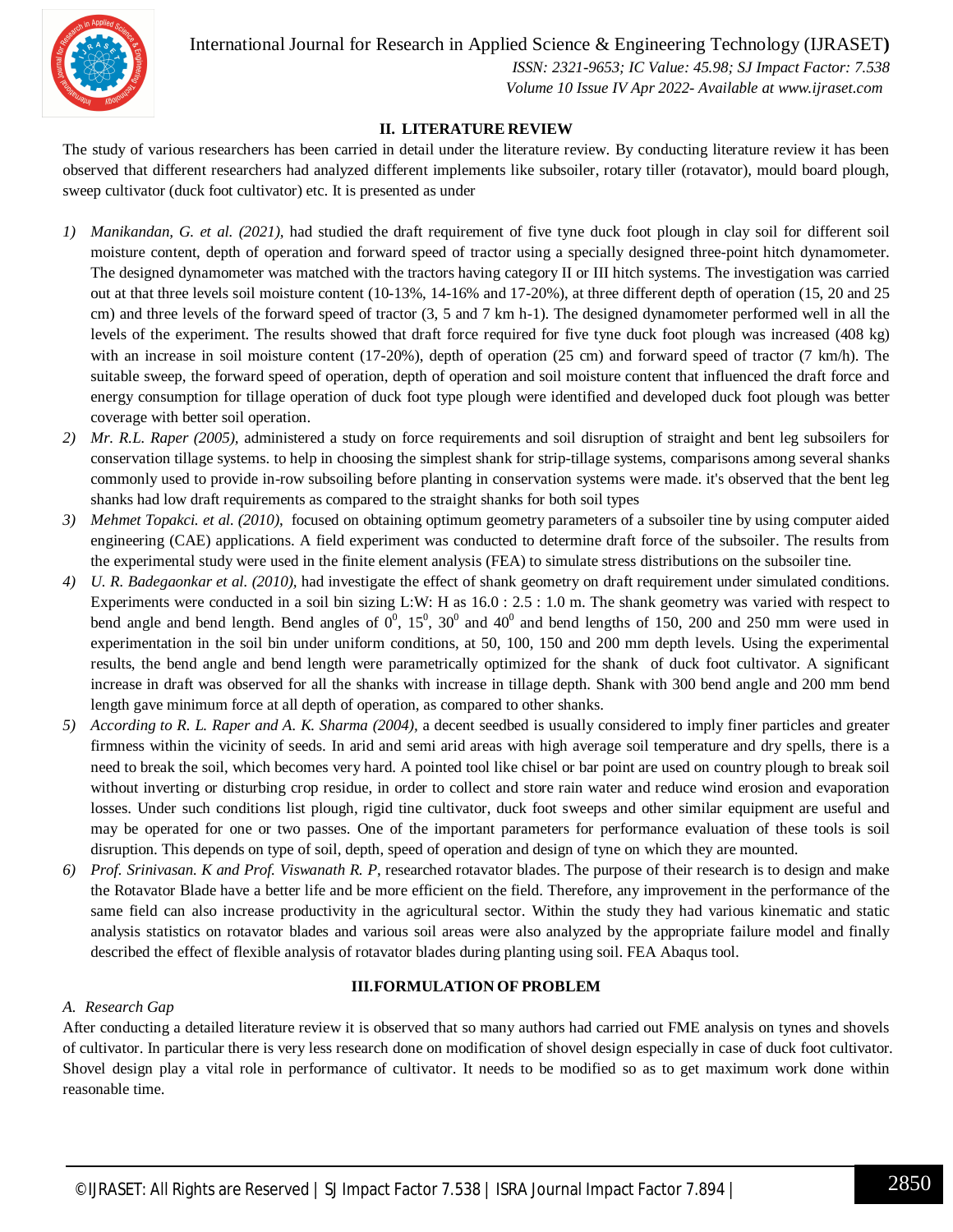

International Journal for Research in Applied Science & Engineering Technology (IJRASET**)**

 *ISSN: 2321-9653; IC Value: 45.98; SJ Impact Factor: 7.538 Volume 10 Issue IV Apr 2022- Available at www.ijraset.com*

#### **II. LITERATURE REVIEW**

The study of various researchers has been carried in detail under the literature review. By conducting literature review it has been observed that different researchers had analyzed different implements like subsoiler, rotary tiller (rotavator), mould board plough, sweep cultivator (duck foot cultivator) etc. It is presented as under

- *1) Manikandan, G. et al. (2021),* had studied the draft requirement of five tyne duck foot plough in clay soil for different soil moisture content, depth of operation and forward speed of tractor using a specially designed three-point hitch dynamometer. The designed dynamometer was matched with the tractors having category II or III hitch systems. The investigation was carried out at that three levels soil moisture content (10-13%, 14-16% and 17-20%), at three different depth of operation (15, 20 and 25 cm) and three levels of the forward speed of tractor (3, 5 and 7 km h-1). The designed dynamometer performed well in all the levels of the experiment. The results showed that draft force required for five tyne duck foot plough was increased (408 kg) with an increase in soil moisture content (17-20%), depth of operation (25 cm) and forward speed of tractor (7 km/h). The suitable sweep, the forward speed of operation, depth of operation and soil moisture content that influenced the draft force and energy consumption for tillage operation of duck foot type plough were identified and developed duck foot plough was better coverage with better soil operation.
- *2) Mr. R.L. Raper (2005),* administered a study on force requirements and soil disruption of straight and bent leg subsoilers for conservation tillage systems. to help in choosing the simplest shank for strip-tillage systems, comparisons among several shanks commonly used to provide in-row subsoiling before planting in conservation systems were made. it's observed that the bent leg shanks had low draft requirements as compared to the straight shanks for both soil types
- *3) Mehmet Topakci. et al. (2010)*, focused on obtaining optimum geometry parameters of a subsoiler tine by using computer aided engineering (CAE) applications. A field experiment was conducted to determine draft force of the subsoiler. The results from the experimental study were used in the finite element analysis (FEA) to simulate stress distributions on the subsoiler tine.
- *4) U. R. Badegaonkar et al. (2010),* had investigate the effect of shank geometry on draft requirement under simulated conditions. Experiments were conducted in a soil bin sizing L:W: H as 16.0 : 2.5 : 1.0 m. The shank geometry was varied with respect to bend angle and bend length. Bend angles of  $0^0$ ,  $15^0$ ,  $30^0$  and  $40^0$  and bend lengths of 150, 200 and 250 mm were used in experimentation in the soil bin under uniform conditions, at 50, 100, 150 and 200 mm depth levels. Using the experimental results, the bend angle and bend length were parametrically optimized for the shank of duck foot cultivator. A significant increase in draft was observed for all the shanks with increase in tillage depth. Shank with 300 bend angle and 200 mm bend length gave minimum force at all depth of operation, as compared to other shanks.
- *5) According to R. L. Raper and A. K. Sharma (2004),* a decent seedbed is usually considered to imply finer particles and greater firmness within the vicinity of seeds. In arid and semi arid areas with high average soil temperature and dry spells, there is a need to break the soil, which becomes very hard. A pointed tool like chisel or bar point are used on country plough to break soil without inverting or disturbing crop residue, in order to collect and store rain water and reduce wind erosion and evaporation losses. Under such conditions list plough, rigid tine cultivator, duck foot sweeps and other similar equipment are useful and may be operated for one or two passes. One of the important parameters for performance evaluation of these tools is soil disruption. This depends on type of soil, depth, speed of operation and design of tyne on which they are mounted.
- *6) Prof. Srinivasan. K and Prof. Viswanath R. P*, researched rotavator blades. The purpose of their research is to design and make the Rotavator Blade have a better life and be more efficient on the field. Therefore, any improvement in the performance of the same field can also increase productivity in the agricultural sector. Within the study they had various kinematic and static analysis statistics on rotavator blades and various soil areas were also analyzed by the appropriate failure model and finally described the effect of flexible analysis of rotavator blades during planting using soil. FEA Abaqus tool.

#### **III.FORMULATION OF PROBLEM**

#### *A. Research Gap*

After conducting a detailed literature review it is observed that so many authors had carried out FME analysis on tynes and shovels of cultivator. In particular there is very less research done on modification of shovel design especially in case of duck foot cultivator. Shovel design play a vital role in performance of cultivator. It needs to be modified so as to get maximum work done within reasonable time.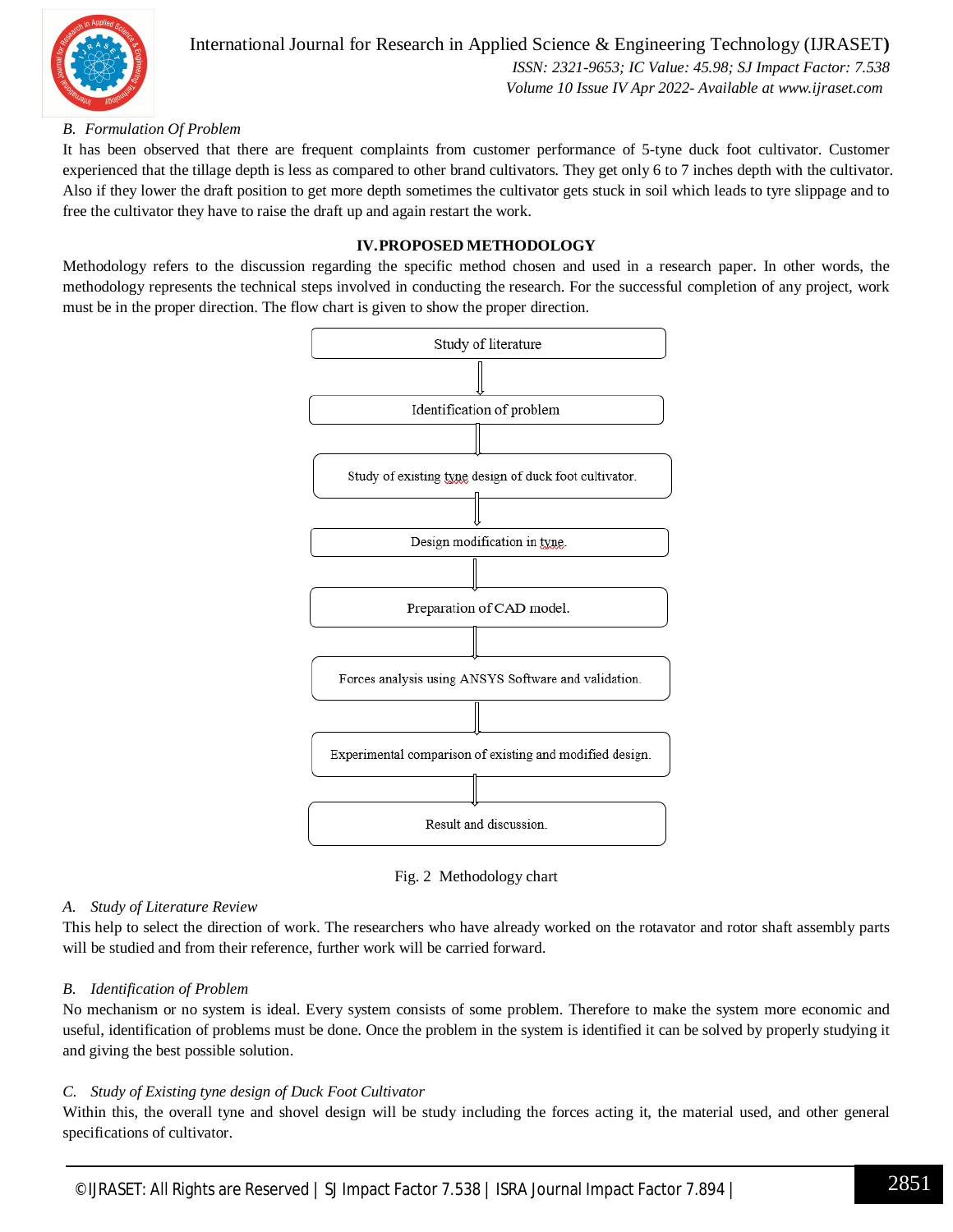

International Journal for Research in Applied Science & Engineering Technology (IJRASET**)**  *ISSN: 2321-9653; IC Value: 45.98; SJ Impact Factor: 7.538 Volume 10 Issue IV Apr 2022- Available at www.ijraset.com*

#### *B. Formulation Of Problem*

It has been observed that there are frequent complaints from customer performance of 5-tyne duck foot cultivator. Customer experienced that the tillage depth is less as compared to other brand cultivators. They get only 6 to 7 inches depth with the cultivator. Also if they lower the draft position to get more depth sometimes the cultivator gets stuck in soil which leads to tyre slippage and to free the cultivator they have to raise the draft up and again restart the work.

#### **IV.PROPOSED METHODOLOGY**

Methodology refers to the discussion regarding the specific method chosen and used in a research paper. In other words, the methodology represents the technical steps involved in conducting the research. For the successful completion of any project, work must be in the proper direction. The flow chart is given to show the proper direction.



Fig. 2 Methodology chart

#### *A. Study of Literature Review*

This help to select the direction of work. The researchers who have already worked on the rotavator and rotor shaft assembly parts will be studied and from their reference, further work will be carried forward.

#### *B. Identification of Problem*

No mechanism or no system is ideal. Every system consists of some problem. Therefore to make the system more economic and useful, identification of problems must be done. Once the problem in the system is identified it can be solved by properly studying it and giving the best possible solution.

#### *C. Study of Existing tyne design of Duck Foot Cultivator*

Within this, the overall tyne and shovel design will be study including the forces acting it, the material used, and other general specifications of cultivator.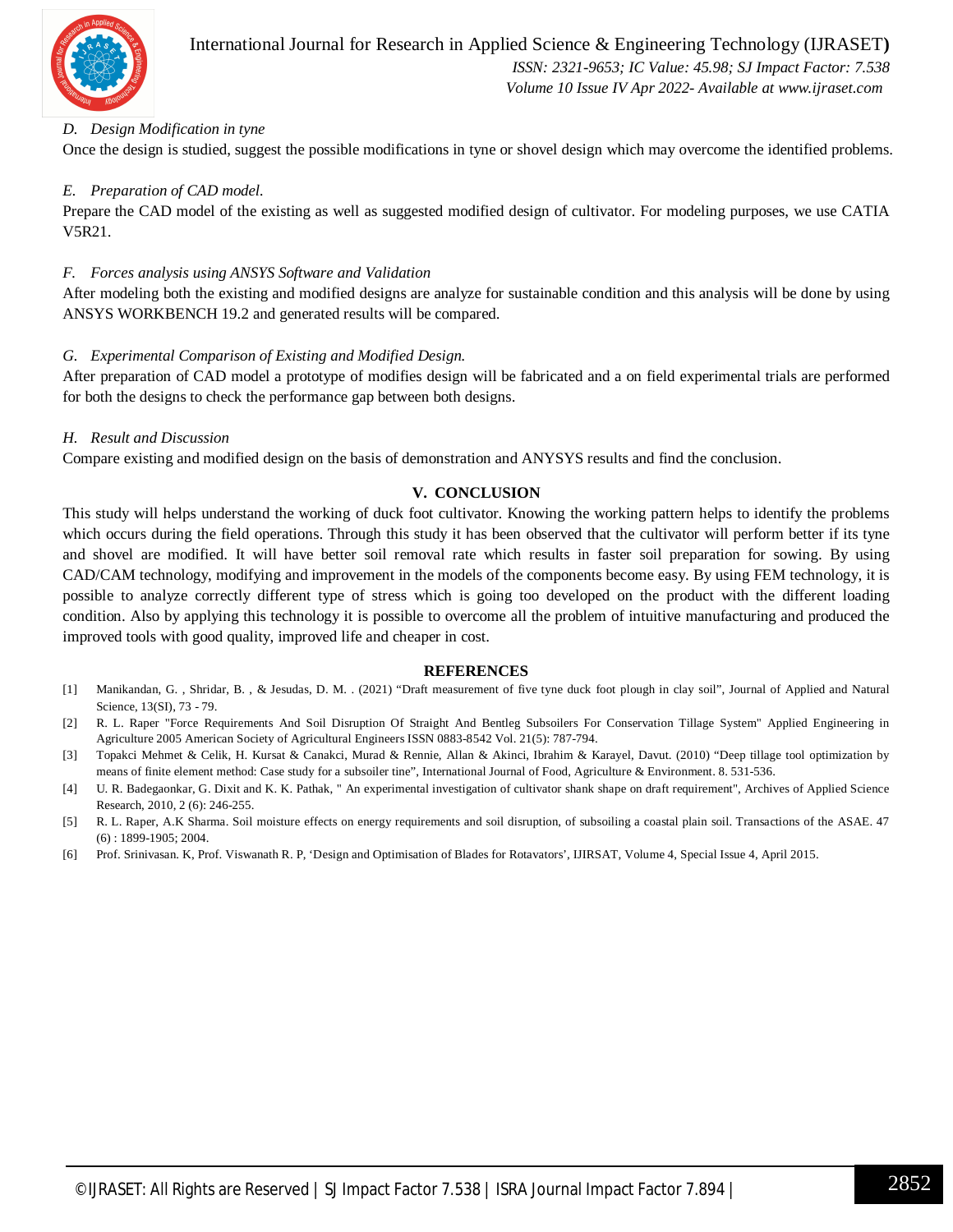

 *Volume 10 Issue IV Apr 2022- Available at www.ijraset.com*

#### *D. Design Modification in tyne*

Once the design is studied, suggest the possible modifications in tyne or shovel design which may overcome the identified problems.

#### *E. Preparation of CAD model.*

Prepare the CAD model of the existing as well as suggested modified design of cultivator. For modeling purposes, we use CATIA V5R21.

#### *F. Forces analysis using ANSYS Software and Validation*

After modeling both the existing and modified designs are analyze for sustainable condition and this analysis will be done by using ANSYS WORKBENCH 19.2 and generated results will be compared.

#### *G. Experimental Comparison of Existing and Modified Design.*

After preparation of CAD model a prototype of modifies design will be fabricated and a on field experimental trials are performed for both the designs to check the performance gap between both designs.

#### *H. Result and Discussion*

Compare existing and modified design on the basis of demonstration and ANYSYS results and find the conclusion.

#### **V. CONCLUSION**

This study will helps understand the working of duck foot cultivator. Knowing the working pattern helps to identify the problems which occurs during the field operations. Through this study it has been observed that the cultivator will perform better if its tyne and shovel are modified. It will have better soil removal rate which results in faster soil preparation for sowing. By using CAD/CAM technology, modifying and improvement in the models of the components become easy. By using FEM technology, it is possible to analyze correctly different type of stress which is going too developed on the product with the different loading condition. Also by applying this technology it is possible to overcome all the problem of intuitive manufacturing and produced the improved tools with good quality, improved life and cheaper in cost.

#### **REFERENCES**

- [1] Manikandan, G. , Shridar, B. , & Jesudas, D. M. . (2021) "Draft measurement of five tyne duck foot plough in clay soil", Journal of Applied and Natural Science, 13(SI), 73 - 79.
- [2] R. L. Raper "Force Requirements And Soil Disruption Of Straight And Bentleg Subsoilers For Conservation Tillage System" Applied Engineering in Agriculture 2005 American Society of Agricultural Engineers ISSN 0883-8542 Vol. 21(5): 787-794.
- [3] Topakci Mehmet & Celik, H. Kursat & Canakci, Murad & Rennie, Allan & Akinci, Ibrahim & Karayel, Davut. (2010) "Deep tillage tool optimization by means of finite element method: Case study for a subsoiler tine", International Journal of Food, Agriculture & Environment. 8. 531-536.
- [4] U. R. Badegaonkar, G. Dixit and K. K. Pathak, " An experimental investigation of cultivator shank shape on draft requirement", Archives of Applied Science Research, 2010, 2 (6): 246-255.
- [5] R. L. Raper, A.K Sharma. Soil moisture effects on energy requirements and soil disruption, of subsoiling a coastal plain soil. Transactions of the ASAE. 47 (6) : 1899-1905; 2004.
- [6] Prof. Srinivasan. K, Prof. Viswanath R. P, 'Design and Optimisation of Blades for Rotavators', IJIRSAT, Volume 4, Special Issue 4, April 2015.